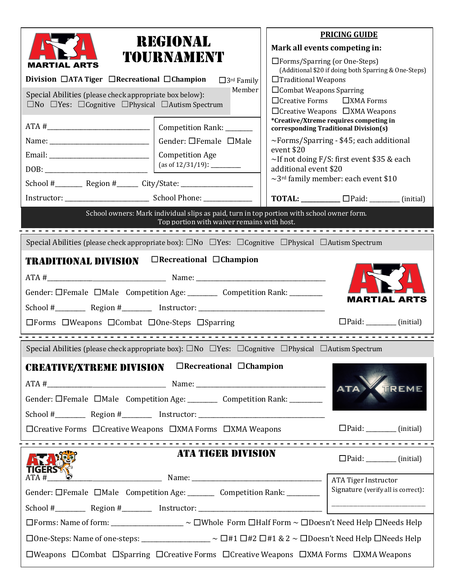| REGIONAL<br>TOURNAMENT<br><b>MARTIAL ARTS</b><br>Division $\Box$ ATA Tiger $\Box$ Recreational $\Box$ Champion                                                                                                                                                                                                                                                                                                                                                   | <b>PRICING GUIDE</b><br>Mark all events competing in:<br>$\Box$ Forms/Sparring (or One-Steps)<br>(Additional \$20 if doing both Sparring & One-Steps)<br>$\Box$ Traditional Weapons |                                                            |                                                                                                                                                                                                                                                |                     |
|------------------------------------------------------------------------------------------------------------------------------------------------------------------------------------------------------------------------------------------------------------------------------------------------------------------------------------------------------------------------------------------------------------------------------------------------------------------|-------------------------------------------------------------------------------------------------------------------------------------------------------------------------------------|------------------------------------------------------------|------------------------------------------------------------------------------------------------------------------------------------------------------------------------------------------------------------------------------------------------|---------------------|
| $\Box$ Combat Weapons Sparring<br>Member<br>Special Abilities (please check appropriate box below):<br>$\Box$ Creative Forms<br>$\square$ No $\square$ Yes: $\square$ Cognitive $\square$ Physical $\square$ Autism Spectrum                                                                                                                                                                                                                                     |                                                                                                                                                                                     |                                                            | $\square$ XMA Forms<br>$\Box$ Creative Weapons $\Box$ XMA Weapons                                                                                                                                                                              |                     |
| $\boxed{\text{DOB:}\n \begin{picture}(10,10) \put(0,0){\dashbox{0.5}(10,0){ }} \put(15,0){\dashbox{0.5}(10,0){ }} \put(15,0){\dashbox{0.5}(10,0){ }} \put(15,0){\dashbox{0.5}(10,0){ }} \put(15,0){\dashbox{0.5}(10,0){ }} \put(15,0){\dashbox{0.5}(10,0){ }} \put(15,0){\dashbox{0.5}(10,0){ }} \put(15,0){\dashbox{0.5}(10,0){ }} \put(15,0){\dashbox{0.5}(10,0){ }} \put$<br>School #____________ Region #_________ City/State: _____________________________ | Gender: □Female □Male<br>event \$20<br><b>Competition Age</b><br>additional event \$20                                                                                              |                                                            | <i>*Creative/Xtreme requires competing in</i><br>corresponding Traditional Division(s)<br>$\sim$ Forms/Sparring - \$45; each additional<br>~If not doing F/S: first event \$35 & each<br>$\sim$ 3 <sup>rd</sup> family member: each event \$10 |                     |
|                                                                                                                                                                                                                                                                                                                                                                                                                                                                  |                                                                                                                                                                                     |                                                            |                                                                                                                                                                                                                                                |                     |
|                                                                                                                                                                                                                                                                                                                                                                                                                                                                  | School owners: Mark individual slips as paid, turn in top portion with school owner form.<br>Top portion with waiver remains with host.                                             |                                                            |                                                                                                                                                                                                                                                |                     |
|                                                                                                                                                                                                                                                                                                                                                                                                                                                                  |                                                                                                                                                                                     |                                                            |                                                                                                                                                                                                                                                | <b>MARTIAL ARTS</b> |
| $\Box$ Forms $\Box$ Weapons $\Box$ Combat $\Box$ One-Steps $\Box$ Sparring                                                                                                                                                                                                                                                                                                                                                                                       |                                                                                                                                                                                     |                                                            | $\Box$ Paid: __________ (initial)                                                                                                                                                                                                              |                     |
| Special Abilities (please check appropriate box): $\square$ No $\square$ Yes: $\square$ Cognitive $\square$ Physical $\square$ Autism Spectrum                                                                                                                                                                                                                                                                                                                   |                                                                                                                                                                                     |                                                            |                                                                                                                                                                                                                                                |                     |
| <b>CREATIVE/XTREME DIVISION</b><br>School #___________Region #____________Instructor: ______________________________                                                                                                                                                                                                                                                                                                                                             | $\Box$ Recreational $\Box$ Champion                                                                                                                                                 |                                                            | ATA                                                                                                                                                                                                                                            | TREME               |
| $\Box$ Creative Forms $\Box$ Creative Weapons $\Box$ XMA Forms $\Box$ XMA Weapons                                                                                                                                                                                                                                                                                                                                                                                |                                                                                                                                                                                     |                                                            | $\Box$ Paid: __________ (initial)                                                                                                                                                                                                              |                     |
| ATA TIGER DIVISION<br><b>TIGERS%</b>                                                                                                                                                                                                                                                                                                                                                                                                                             |                                                                                                                                                                                     | $\Box$ Paid: ___________ (initial)                         |                                                                                                                                                                                                                                                |                     |
| ATA#<br>Gender: OFemale OMale Competition Age: Competition Rank: Competition Rank:                                                                                                                                                                                                                                                                                                                                                                               |                                                                                                                                                                                     | ATA Tiger Instructor<br>Signature (verify all is correct): |                                                                                                                                                                                                                                                |                     |
| $\Box$ Forms: Name of form: _________________ ~ $\Box$ Whole Form $\Box$ Half Form ~ $\Box$ Doesn't Need Help $\Box$ Needs Help                                                                                                                                                                                                                                                                                                                                  |                                                                                                                                                                                     |                                                            |                                                                                                                                                                                                                                                |                     |
| $\Box$ One-Steps: Name of one-steps: ______________ ~ □#1 □#2 □#1 & 2 ~ □Doesn't Need Help □Needs Help                                                                                                                                                                                                                                                                                                                                                           |                                                                                                                                                                                     |                                                            | $\Box$ Weapons $\Box$ Combat $\Box$ Sparring $\Box$ Creative Forms $\Box$ Creative Weapons $\Box$ XMA Forms $\Box$ XMA Weapons                                                                                                                 |                     |